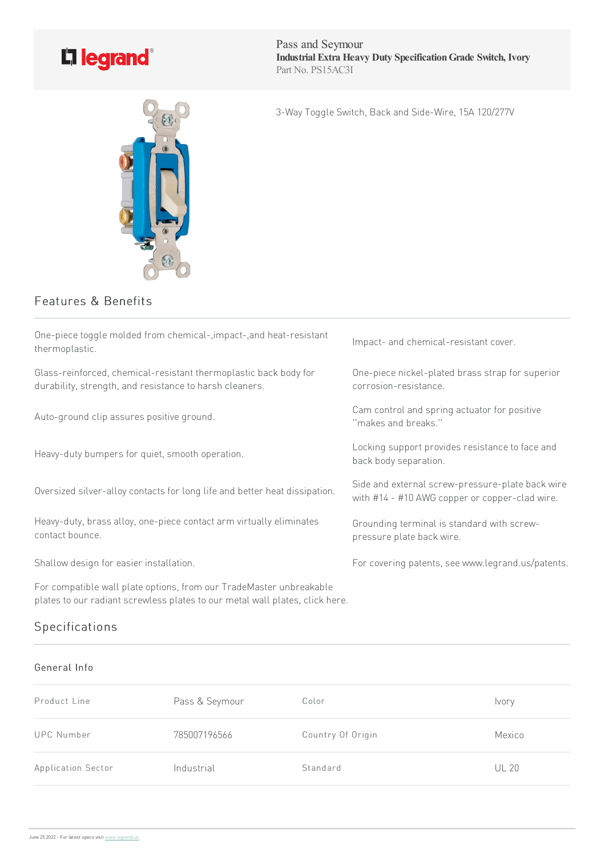

Pass and Seymour **Industrial Extra Heavy Duty SpecificationGrade Switch, Ivory** Part No. PS15AC3I

3-Way Toggle Switch, Back and Side-Wire, 15A 120/277V

## Features & Benefits

| One-piece toggle molded from chemical-, impact-, and heat-resistant<br>thermoplastic.                                       | Impact- and chemical-resistant cover.                                                              |
|-----------------------------------------------------------------------------------------------------------------------------|----------------------------------------------------------------------------------------------------|
| Glass-reinforced, chemical-resistant thermoplastic back body for<br>durability, strength, and resistance to harsh cleaners. | One-piece nickel-plated brass strap for superior<br>corrosion-resistance.                          |
| Auto-ground clip assures positive ground.                                                                                   | Cam control and spring actuator for positive<br>"makes and breaks."                                |
| Heavy-duty bumpers for quiet, smooth operation.                                                                             | Locking support provides resistance to face and<br>back body separation.                           |
| Oversized silver-alloy contacts for long life and better heat dissipation.                                                  | Side and external screw-pressure-plate back wire<br>with #14 - #10 AWG copper or copper-clad wire. |
| Heavy-duty, brass alloy, one-piece contact arm virtually eliminates<br>contact bounce.                                      | Grounding terminal is standard with screw-<br>pressure plate back wire.                            |
| Shallow design for easier installation.                                                                                     | For covering patents, see www.legrand.us/patents.                                                  |
| For compatible wall plate options, from our TradeMaster unbreakable                                                         |                                                                                                    |

Specifications

plates to our radiant screwless plates to our metal wall plates, click here.

## General Info

| Product Line              | Pass & Seymour | Color             | Ivory        |
|---------------------------|----------------|-------------------|--------------|
| UPC Number                | 785007196566   | Country Of Origin | Mexico       |
| <b>Application Sector</b> | Industrial     | Standard          | <b>UL 20</b> |